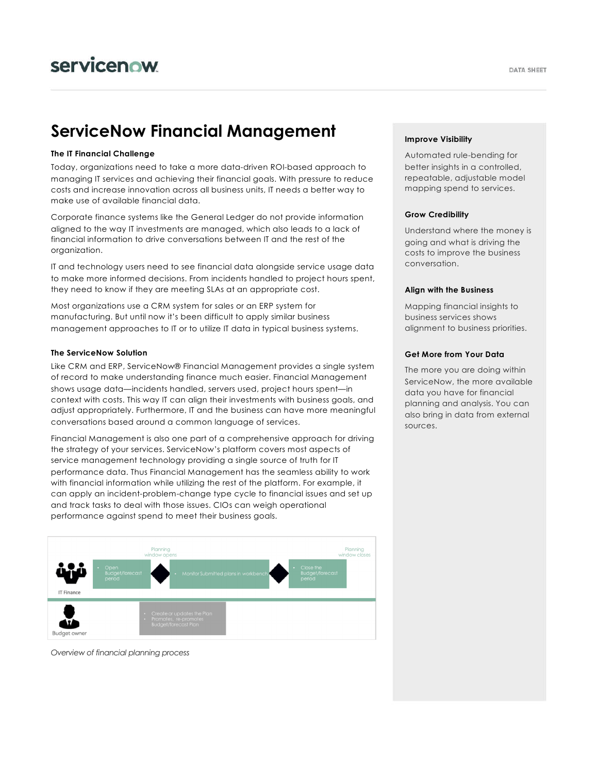# **ServiceNow Financial Management**

# **The IT Financial Challenge**

Today, organizations need to take a more data-driven ROI-based approach to managing IT services and achieving their financial goals. With pressure to reduce costs and increase innovation across all business units, IT needs a better way to make use of available financial data.

Corporate finance systems like the General Ledger do not provide information aligned to the way IT investments are managed, which also leads to a lack of financial information to drive conversations between IT and the rest of the organization.

IT and technology users need to see financial data alongside service usage data to make more informed decisions. From incidents handled to project hours spent, they need to know if they are meeting SLAs at an appropriate cost.

Most organizations use a CRM system for sales or an ERP system for manufacturing. But until now it's been difficult to apply similar business management approaches to IT or to utilize IT data in typical business systems.

## **The ServiceNow Solution**

Like CRM and ERP, ServiceNow® Financial Management provides a single system of record to make understanding finance much easier. Financial Management shows usage data—incidents handled, servers used, project hours spent—in context with costs. This way IT can align their investments with business goals, and adjust appropriately. Furthermore, IT and the business can have more meaningful conversations based around a common language of services.

Financial Management is also one part of a comprehensive approach for driving the strategy of your services. ServiceNow's platform covers most aspects of service management technology providing a single source of truth for IT performance data. Thus Financial Management has the seamless ability to work with financial information while utilizing the rest of the platform. For example, it can apply an incident-problem-change type cycle to financial issues and set up and track tasks to deal with those issues. CIOs can weigh operational performance against spend to meet their business goals.



*Overview of financial planning process*

# **Improve Visibility**

Automated rule-bending for better insights in a controlled, repeatable, adjustable model mapping spend to services.

# **Grow Credibility**

Understand where the money is going and what is driving the costs to improve the business conversation.

#### **Align with the Business**

Mapping financial insights to business services shows alignment to business priorities.

# **Get More from Your Data**

The more you are doing within ServiceNow, the more available data you have for financial planning and analysis. You can also bring in data from external sources.